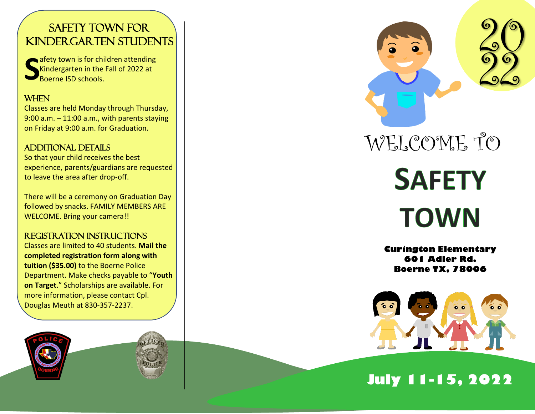#### SAFETY TOWN FOR Kindergarten Students

afety town is for children attending<br>Kindergarten in the Fall of 2022 at Boerne ISD schools.

#### When

Classes are held Monday through Thursday, 9:00 a.m. – 11:00 a.m., with parents staying on Friday at 9:00 a.m. for Graduation.

#### ADDITIONAL DETAILS

So that your child receives the best experience, parents/ guardians are requested to leave the area after drop-off.

There will be a ceremony on Graduation Day followed by snacks. FAMILY MEMBERS ARE WELCOME. Bring your camera!!

#### Registration instructions

Classes are limited to 40 students. **Mail the completed registration form along with tuition (\$35.00)** to the Boerne Police Department. Make checks payable to "**Youth on Target**." Scholarships are available. For more information , please contact Cpl. Douglas Meuth at 830 -357 -2237 .





20 WELCOME TO **SAFETY** 

# **TOWN**

**Curington Elementary 601 Adler Rd. Boerne TX, 78006**



# **July 1 1 - 1 5, 202 2**